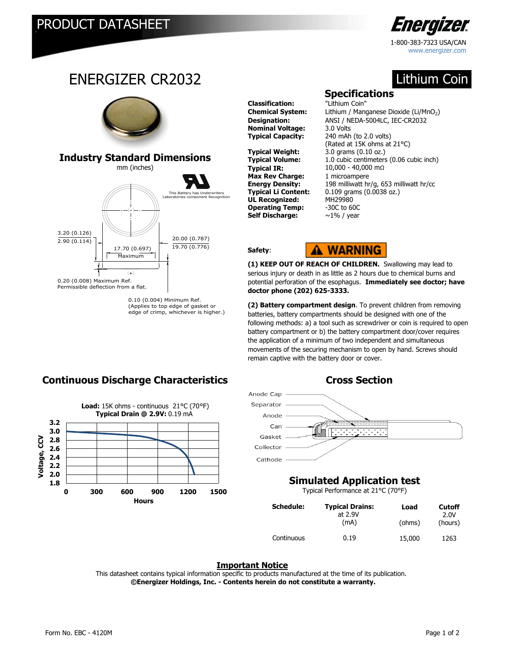3.20 (0.126) 2.90 (0.114)

0.20 (0.008) Maximum Ref. Permissible deflection from a flat.

ENERGIZER CR2032

mm (inches) **Industry Standard Dimensions**

> 17.70 (0.697) Maximum

> > $(+)$

20.00 (0.787) 19.70 (0.776)

This Battery has Underwriters

<u>.</u><br>onent Recognition

0.10 (0.004) Minimum Ref. (Applies to top edge of gasket or edge of crimp, whichever is higher.)



Lithium Coin

## **Specifications**

**Classification:** "Lithium Coin" **Nominal Voltage:** 3.0 Volts

**Typical Weight:** 3.0 grams (0.10 oz.)<br> **Typical Volume:** 1.0 cubic centimeters **Typical IR:** 10,000 - 40,000 mΩ **Max Rev Charge:** 1 microampere **UL Recognized:** MH29980 **Operating Temp:** -30C to 60C **Self Discharge:** ~1% / year

**Chemical System:** Lithium / Manganese Dioxide (Li/MnO<sub>2</sub>) **Designation:** ANSI / NEDA-5004LC, IEC-CR2032 **Typical Capacity:** 240 mAh (to 2.0 volts) (Rated at 15K ohms at 21°C) 1.0 cubic centimeters (0.06 cubic inch) **Energy Density:** 198 milliwatt hr/g, 653 milliwatt hr/cc 0.109 grams (0.0038 oz.)

#### **Safety**:



**(1) KEEP OUT OF REACH OF CHILDREN.** Swallowing may lead to serious injury or death in as little as 2 hours due to chemical burns and potential perforation of the esophagus. **Immediately see doctor; have doctor phone (202) 625-3333.** 

**(2) Battery compartment design**. To prevent children from removing batteries, battery compartments should be designed with one of the following methods: a) a tool such as screwdriver or coin is required to open battery compartment or b) the battery compartment door/cover requires the application of a minimum of two independent and simultaneous movements of the securing mechanism to open by hand. Screws should remain captive with the battery door or cover.



### **Simulated Application test**

Typical Performance at 21°C (70°F)

| <b>Schedule:</b> | <b>Typical Drains:</b><br>at 2.9V | Load   | <b>Cutoff</b><br>2.0V |
|------------------|-----------------------------------|--------|-----------------------|
|                  | (mA)                              | (ohms) | (hours)               |
| Continuous       | 0.19                              | 15,000 | 1263                  |

#### **Important Notice**

This datasheet contains typical information specific to products manufactured at the time of its publication.  **©Energizer Holdings, Inc. - Contents herein do not constitute a warranty.**

## **Continuous Discharge Characteristics The Cross Section**